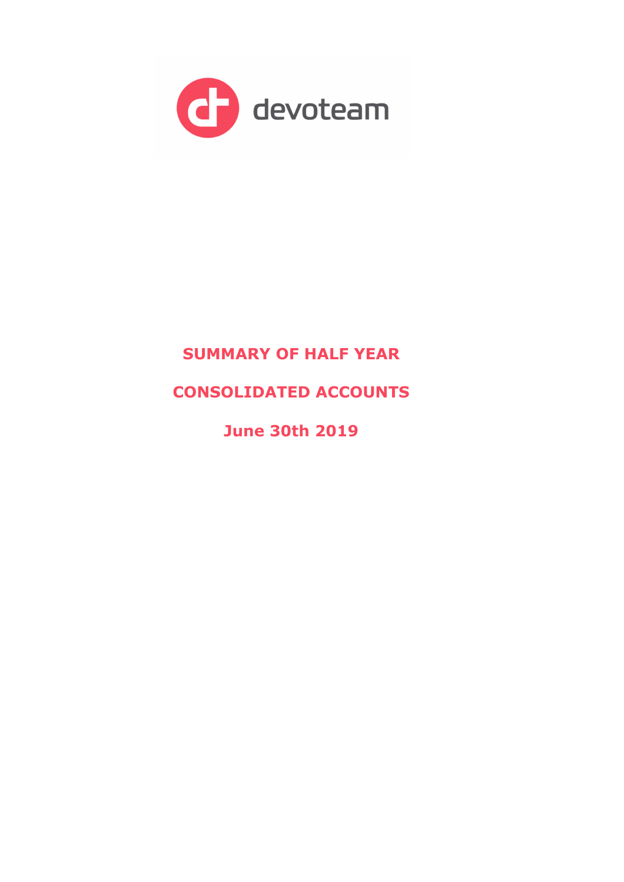

# **SUMMARY OF HALF YEAR**

# **CONSOLIDATED ACCOUNTS**

**June 30th 2019**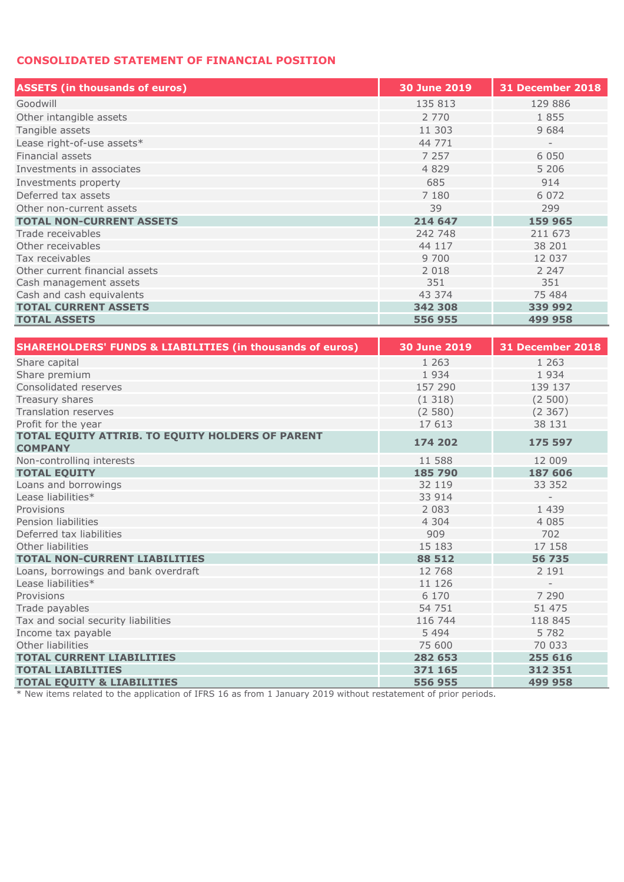## **CONSOLIDATED STATEMENT OF FINANCIAL POSITION**

| <b>ASSETS (in thousands of euros)</b> | <b>30 June 2019</b> | <b>31 December 2018</b>  |
|---------------------------------------|---------------------|--------------------------|
| Goodwill                              | 135 813             | 129 886                  |
| Other intangible assets               | 2 7 7 0             | 1855                     |
| Tangible assets                       | 11 303              | 9 6 8 4                  |
| Lease right-of-use assets*            | 44 771              | $\overline{\phantom{a}}$ |
| Financial assets                      | 7 2 5 7             | 6 0 5 0                  |
| Investments in associates             | 4 8 2 9             | 5 2 0 6                  |
| Investments property                  | 685                 | 914                      |
| Deferred tax assets                   | 7 1 8 0             | 6 0 7 2                  |
| Other non-current assets              | 39                  | 299                      |
| <b>TOTAL NON-CURRENT ASSETS</b>       | 214 647             | 159 965                  |
| Trade receivables                     | 242 748             | 211 673                  |
| Other receivables                     | 44 117              | 38 201                   |
| Tax receivables                       | 9 700               | 12 037                   |
| Other current financial assets        | 2 0 1 8             | 2 2 4 7                  |
| Cash management assets                | 351                 | 351                      |
| Cash and cash equivalents             | 43 374              | 75 484                   |
| <b>TOTAL CURRENT ASSETS</b>           | 342 308             | 339 992                  |
| <b>TOTAL ASSETS</b>                   | 556 955             | 499 958                  |

| <b>SHAREHOLDERS' FUNDS &amp; LIABILITIES (in thousands of euros)</b> | <b>30 June 2019</b> | <b>31 December 2018</b>  |
|----------------------------------------------------------------------|---------------------|--------------------------|
| Share capital                                                        | 1 2 6 3             | 1 2 6 3                  |
| Share premium                                                        | 1934                | 1934                     |
| Consolidated reserves                                                | 157 290             | 139 137                  |
| Treasury shares                                                      | (1318)              | (2500)                   |
| <b>Translation reserves</b>                                          | (2580)              | (2, 367)                 |
| Profit for the year                                                  | 17 613              | 38 131                   |
| TOTAL EQUITY ATTRIB. TO EQUITY HOLDERS OF PARENT<br><b>COMPANY</b>   | 174 202             | 175 597                  |
| Non-controlling interests                                            | 11 588              | 12 009                   |
| <b>TOTAL EQUITY</b>                                                  | 185 790             | 187 606                  |
| Loans and borrowings                                                 | 32 119              | 33 352                   |
| Lease liabilities*                                                   | 33 914              | $\overline{\phantom{a}}$ |
| Provisions                                                           | 2 0 8 3             | 1 4 3 9                  |
| Pension liabilities                                                  | 4 3 0 4             | 4 0 8 5                  |
| Deferred tax liabilities                                             | 909                 | 702                      |
| Other liabilities                                                    | 15 183              | 17 158                   |
| <b>TOTAL NON-CURRENT LIABILITIES</b>                                 | 88 512              | 56 735                   |
| Loans, borrowings and bank overdraft                                 | 12 768              | 2 1 9 1                  |
| Lease liabilities*                                                   | 11 126              |                          |
| Provisions                                                           | 6 1 7 0             | 7 2 9 0                  |
| Trade payables                                                       | 54 751              | 51 475                   |
| Tax and social security liabilities                                  | 116 744             | 118 845                  |
| Income tax pavable                                                   | 5 4 9 4             | 5 7 8 2                  |
| Other liabilities                                                    | 75 600              | 70 033                   |
| <b>TOTAL CURRENT LIABILITIES</b>                                     | 282 653             | 255 616                  |
| <b>TOTAL LIABILITIES</b>                                             | 371 165             | 312 351                  |
| <b>TOTAL EOUITY &amp; LIABILITIES</b>                                | 556 955             | 499 958                  |

\* New items related to the application of IFRS 16 as from 1 January 2019 without restatement of prior periods.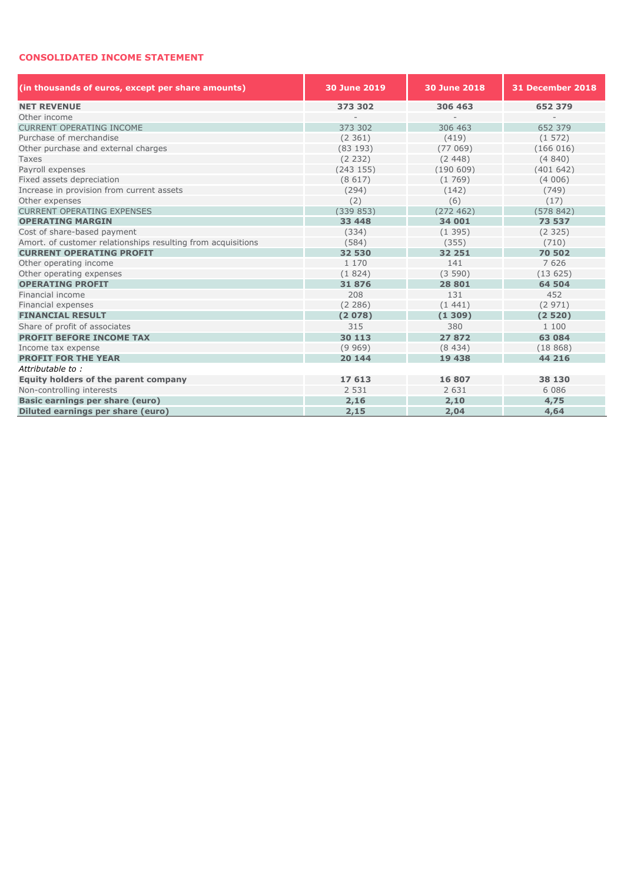#### **CONSOLIDATED INCOME STATEMENT**

| (in thousands of euros, except per share amounts)            | 30 June 2019 | 30 June 2018 | <b>31 December 2018</b> |  |  |  |  |
|--------------------------------------------------------------|--------------|--------------|-------------------------|--|--|--|--|
| <b>NET REVENUE</b>                                           | 373 302      | 306 463      | 652 379                 |  |  |  |  |
| Other income                                                 |              |              |                         |  |  |  |  |
| <b>CURRENT OPERATING INCOME</b>                              | 373 302      | 306 463      | 652 379                 |  |  |  |  |
| Purchase of merchandise                                      | (2361)       | (419)        | (1572)                  |  |  |  |  |
| Other purchase and external charges                          | (83193)      | (77069)      | (166016)                |  |  |  |  |
| Taxes                                                        | (2 232)      | (2, 448)     | (4840)                  |  |  |  |  |
| Pavroll expenses                                             | (243155)     | (190609)     | (401642)                |  |  |  |  |
| Fixed assets depreciation                                    | (8617)       | (1769)       | (4006)                  |  |  |  |  |
| Increase in provision from current assets                    | (294)        | (142)        | (749)                   |  |  |  |  |
| Other expenses                                               | (2)          | (6)          | (17)                    |  |  |  |  |
| <b>CURRENT OPERATING EXPENSES</b>                            | (339853)     | (272462)     | (578842)                |  |  |  |  |
| <b>OPERATING MARGIN</b>                                      | 33 448       | 34 001       | 73 537                  |  |  |  |  |
| Cost of share-based payment                                  | (334)        | (1395)       | (2325)                  |  |  |  |  |
| Amort. of customer relationships resulting from acquisitions | (584)        | (355)        | (710)                   |  |  |  |  |
| <b>CURRENT OPERATING PROFIT</b>                              | 32 530       | 32 251       | 70 502                  |  |  |  |  |
| Other operating income                                       | 1 1 7 0      | 141          | 7 6 2 6                 |  |  |  |  |
| Other operating expenses                                     | (1824)       | (3590)       | (13625)                 |  |  |  |  |
| <b>OPERATING PROFIT</b>                                      | 31876        | 28 801       | 64 504                  |  |  |  |  |
| Financial income                                             | 208          | 131          | 452                     |  |  |  |  |
| Financial expenses                                           | (2 286)      | (1441)       | (2971)                  |  |  |  |  |
| <b>FINANCIAL RESULT</b>                                      | (2078)       | (1309)       | (2520)                  |  |  |  |  |
| Share of profit of associates                                | 315          | 380          | 1 100                   |  |  |  |  |
| <b>PROFIT BEFORE INCOME TAX</b>                              | 30 113       | 27872        | 63 084                  |  |  |  |  |
| Income tax expense                                           | (9969)       | (8434)       | (18868)                 |  |  |  |  |
| <b>PROFIT FOR THE YEAR</b>                                   | 20 144       | 19 438       | 44 216                  |  |  |  |  |
| Attributable to:                                             |              |              |                         |  |  |  |  |
| Equity holders of the parent company                         | 17 613       | 16 807       | 38 130                  |  |  |  |  |
| Non-controlling interests                                    | 2 5 3 1      | 2 6 3 1      | 6 0 8 6                 |  |  |  |  |
| <b>Basic earnings per share (euro)</b>                       | 2,16         | 2,10         | 4,75                    |  |  |  |  |
| Diluted earnings per share (euro)                            | 2,15         | 2,04         | 4,64                    |  |  |  |  |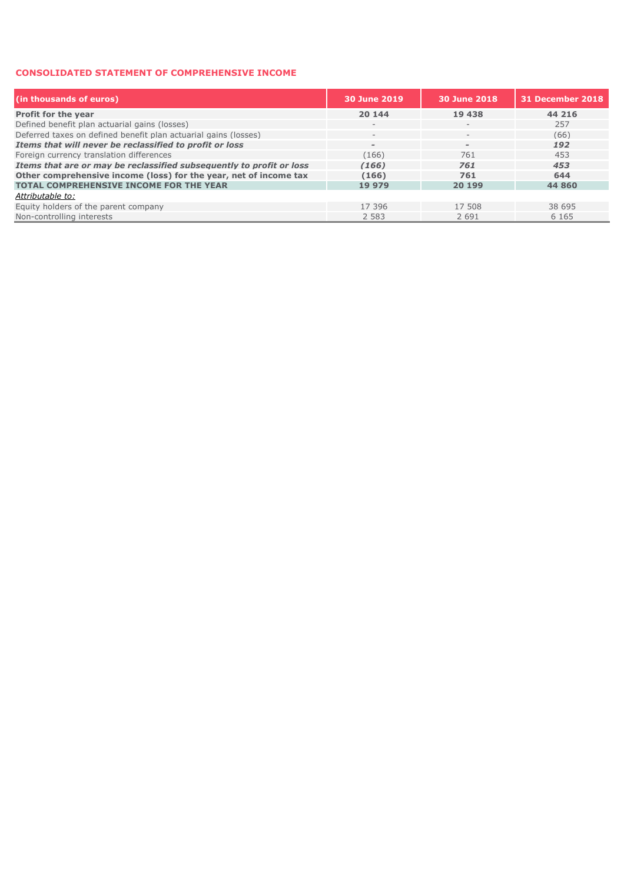### **CONSOLIDATED STATEMENT OF COMPREHENSIVE INCOME**

| (in thousands of euros)                                              | 30 June 2019             | 30 June 2018                   | 31 December 2018 |
|----------------------------------------------------------------------|--------------------------|--------------------------------|------------------|
| Profit for the year                                                  | 20 144                   | 19 438                         | 44 216           |
| Defined benefit plan actuarial gains (losses)                        | $\qquad \qquad$          |                                | 257              |
| Deferred taxes on defined benefit plan actuarial gains (losses)      | $\overline{\phantom{a}}$ | $-$                            | (66)             |
| Items that will never be reclassified to profit or loss              | $\overline{\phantom{a}}$ | $\qquad \qquad =\qquad \qquad$ | 192              |
| Foreign currency translation differences                             | (166)                    | 761                            | 453              |
| Items that are or may be reclassified subsequently to profit or loss | (166)                    | 761                            | 453              |
| Other comprehensive income (loss) for the year, net of income tax    | (166)                    | 761                            | 644              |
| <b>TOTAL COMPREHENSIVE INCOME FOR THE YEAR</b>                       | 19 979                   | 20 199                         | 44 860           |
| Attributable to:                                                     |                          |                                |                  |
| Equity holders of the parent company                                 | 17 396                   | 17 508                         | 38 695           |
| Non-controlling interests                                            | 2 5 8 3                  | 2 6 9 1                        | 6 1 6 5          |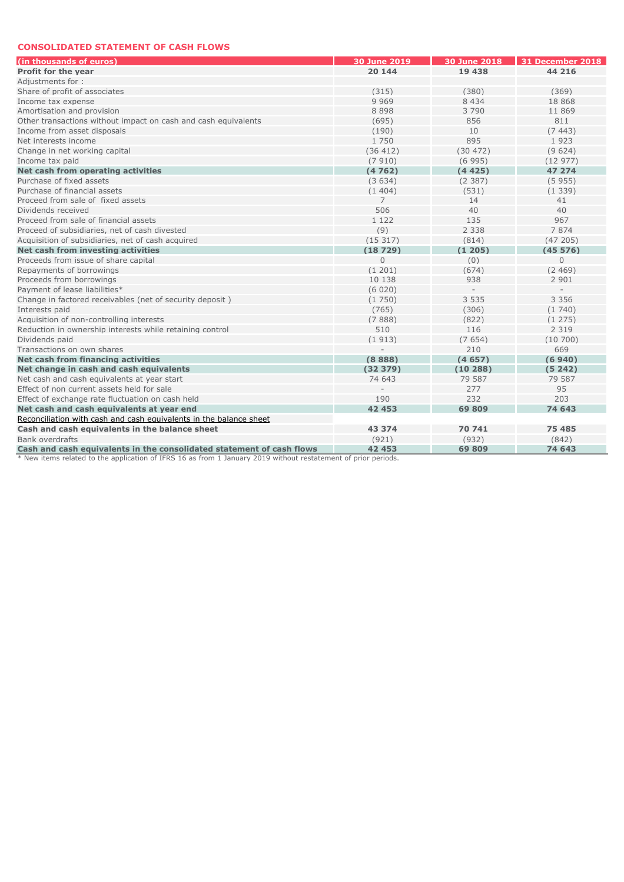#### **CONSOLIDATED STATEMENT OF CASH FLOWS**

| (in thousands of euros)                                                                                        | 30 June 2019   | <b>30 June 2018</b> | 31 December 2018 |
|----------------------------------------------------------------------------------------------------------------|----------------|---------------------|------------------|
| Profit for the year                                                                                            | 20 144         | 19 438              | 44 216           |
| Adjustments for:                                                                                               |                |                     |                  |
| Share of profit of associates                                                                                  | (315)          | (380)               | (369)            |
| Income tax expense                                                                                             | 9 9 6 9        | 8 4 3 4             | 18 868           |
| Amortisation and provision                                                                                     | 8 8 9 8        | 3790                | 11 869           |
| Other transactions without impact on cash and cash equivalents                                                 | (695)          | 856                 | 811              |
| Income from asset disposals                                                                                    | (190)          | 10                  | (7443)           |
| Net interests income                                                                                           | 1 750          | 895                 | 1923             |
| Change in net working capital                                                                                  | (36 412)       | (30 472)            | (9624)           |
| Income tax paid                                                                                                | (7910)         | (6995)              | (12977)          |
| Net cash from operating activities                                                                             | (4762)         | (4425)              | 47 274           |
| Purchase of fixed assets                                                                                       | (3634)         | (2387)              | (5955)           |
| Purchase of financial assets                                                                                   | (1404)         | (531)               | (1339)           |
| Proceed from sale of fixed assets                                                                              | $\overline{7}$ | 14                  | 41               |
| Dividends received                                                                                             | 506            | 40                  | 40               |
| Proceed from sale of financial assets                                                                          | 1 1 2 2        | 135                 | 967              |
| Proceed of subsidiaries, net of cash divested                                                                  | (9)            | 2 3 3 8             | 7874             |
| Acquisition of subsidiaries, net of cash acquired                                                              | (15317)        | (814)               | (47205)          |
| Net cash from investing activities                                                                             | (18729)        | (1205)              | (45576)          |
| Proceeds from issue of share capital                                                                           | $\mathbf{0}$   | (0)                 | $\overline{0}$   |
| Repayments of borrowings                                                                                       | (1201)         | (674)               | (2469)           |
| Proceeds from borrowings                                                                                       | 10 138         | 938                 | 2 9 0 1          |
| Payment of lease liabilities*                                                                                  | (6020)         |                     |                  |
| Change in factored receivables (net of security deposit)                                                       | (1750)         | 3 5 3 5             | 3 3 5 6          |
| Interests paid                                                                                                 | (765)          | (306)               | (1740)           |
| Acquisition of non-controlling interests                                                                       | (7888)         | (822)               | (1275)           |
| Reduction in ownership interests while retaining control                                                       | 510            | 116                 | 2 3 1 9          |
| Dividends paid                                                                                                 | (1913)         | (7654)              | (10700)          |
| Transactions on own shares                                                                                     |                | 210                 | 669              |
| Net cash from financing activities                                                                             | (8888)         | (4657)              | (6940)           |
| Net change in cash and cash equivalents                                                                        | (32379)        | (10288)             | (5242)           |
| Net cash and cash equivalents at year start                                                                    | 74 643         | 79 587              | 79 587           |
| Effect of non current assets held for sale                                                                     |                | 277                 | 95               |
| Effect of exchange rate fluctuation on cash held                                                               | 190            | 232                 | 203              |
| Net cash and cash equivalents at year end                                                                      | 42 453         | 69 809              | 74 643           |
| Reconciliation with cash and cash equivalents in the balance sheet                                             |                |                     |                  |
| Cash and cash equivalents in the balance sheet                                                                 | 43 374         | 70 741              | 75 485           |
| Bank overdrafts                                                                                                | (921)          | (932)               | (842)            |
| Cash and cash equivalents in the consolidated statement of cash flows                                          | 42 453         | 69809               | 74 643           |
| * New items related to the application of IFRS 16 as from 1 January 2019 without restatement of prior periods. |                |                     |                  |